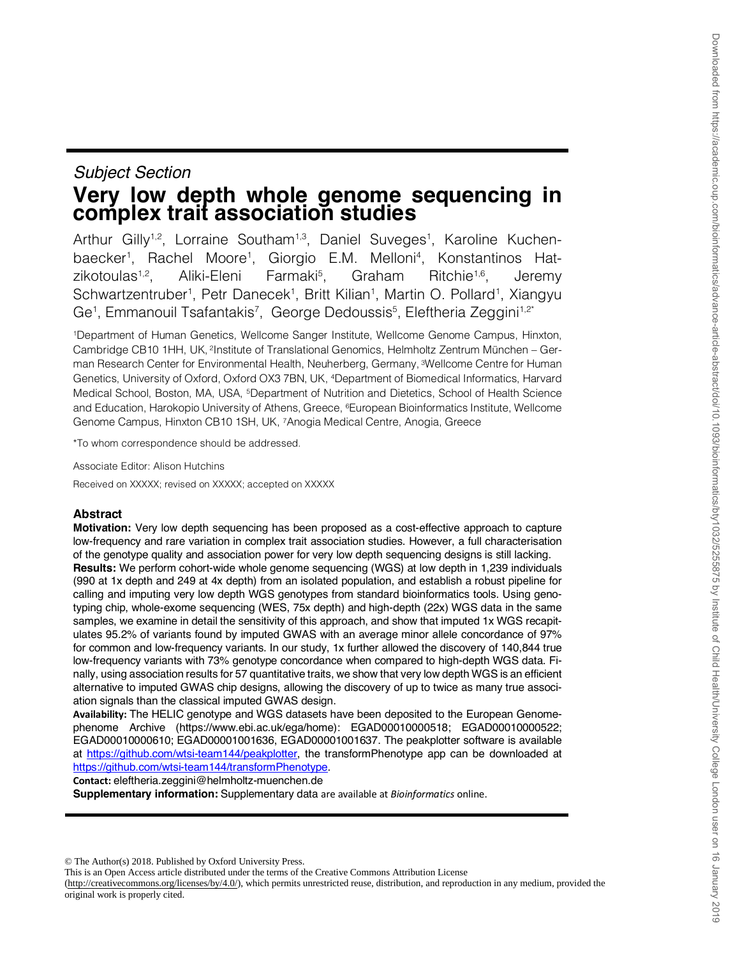# *Subject Section* **Very low depth whole genome sequencing in complex trait association studies**

Arthur Gilly<sup>1,2</sup>, Lorraine Southam<sup>1,3</sup>, Daniel Suveges<sup>1</sup>, Karoline Kuchenbaecker<sup>1</sup>, Rachel Moore<sup>1</sup>, Giorgio E.M. Melloni<sup>4</sup>, Konstantinos Hatzikotoulas $1,2$ . Aliki-Eleni Farmaki<sup>5</sup>, Graham Ritchie<sup>1,6</sup>, Jeremy Schwartzentruber<sup>1</sup>, Petr Danecek<sup>1</sup>, Britt Kilian<sup>1</sup>, Martin O. Pollard<sup>1</sup>, Xiangyu Ge<sup>1</sup>, Emmanouil Tsafantakis<sup>7</sup>, George Dedoussis<sup>5</sup>, Eleftheria Zeggini<sup>1,2\*</sup>

1Department of Human Genetics, Wellcome Sanger Institute, Wellcome Genome Campus, Hinxton, Cambridge CB10 1HH, UK, 2Institute of Translational Genomics, Helmholtz Zentrum München – German Research Center for Environmental Health, Neuherberg, Germany, <sup>3</sup>Wellcome Centre for Human Genetics, University of Oxford, Oxford OX3 7BN, UK, 4Department of Biomedical Informatics, Harvard Medical School, Boston, MA, USA, 5Department of Nutrition and Dietetics, School of Health Science and Education, Harokopio University of Athens, Greece, 6European Bioinformatics Institute, Wellcome Genome Campus, Hinxton CB10 1SH, UK, 7Anogia Medical Centre, Anogia, Greece

\*To whom correspondence should be addressed.

Associate Editor: Alison Hutchins

Received on XXXXX; revised on XXXXX; accepted on XXXXX

# **Abstract**

**Motivation:** Very low depth sequencing has been proposed as a cost-effective approach to capture low-frequency and rare variation in complex trait association studies. However, a full characterisation of the genotype quality and association power for very low depth sequencing designs is still lacking. **Results:** We perform cohort-wide whole genome sequencing (WGS) at low depth in 1,239 individuals (990 at 1x depth and 249 at 4x depth) from an isolated population, and establish a robust pipeline for calling and imputing very low depth WGS genotypes from standard bioinformatics tools. Using genotyping chip, whole-exome sequencing (WES, 75x depth) and high-depth (22x) WGS data in the same samples, we examine in detail the sensitivity of this approach, and show that imputed 1x WGS recapitulates 95.2% of variants found by imputed GWAS with an average minor allele concordance of 97% for common and low-frequency variants. In our study, 1x further allowed the discovery of 140,844 true low-frequency variants with 73% genotype concordance when compared to high-depth WGS data. Finally, using association results for 57 quantitative traits, we show that very low depth WGS is an efficient alternative to imputed GWAS chip designs, allowing the discovery of up to twice as many true association signals than the classical imputed GWAS design.

**Availability:** The HELIC genotype and WGS datasets have been deposited to the European Genomephenome Archive (https://www.ebi.ac.uk/ega/home): EGAD00010000518; EGAD00010000522; EGAD00010000610; EGAD00001001636, EGAD00001001637. The peakplotter software is available at https://github.com/wtsi-team144/peakplotter, the transformPhenotype app can be downloaded at https://github.com/wtsi-team144/transformPhenotype.

**Contact:** eleftheria.zeggini@helmholtz-muenchen.de

**Supplementary information:** Supplementary data are available at *Bioinformatics* online.

© The Author(s) 2018. Published by Oxford University Press.

This is an Open Access article distributed under the terms of the Creative Commons Attribution License

(http://creativecommons.org/licenses/by/4.0/), which permits unrestricted reuse, distribution, and reproduction in any medium, provided the original work is properly cited.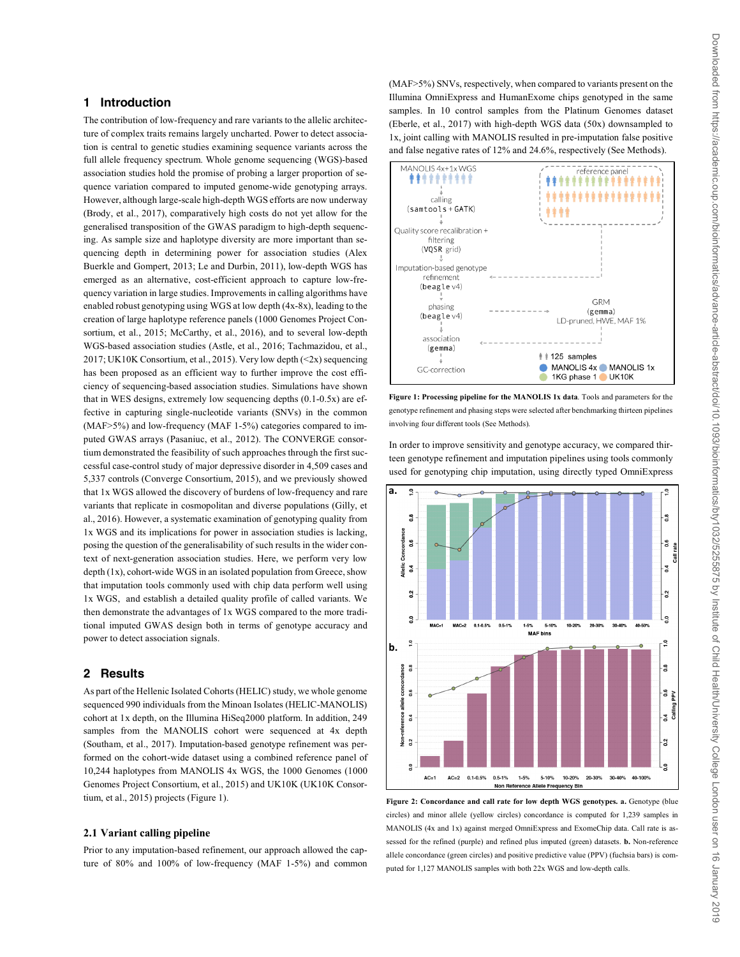# **1 Introduction**

The contribution of low-frequency and rare variants to the allelic architecture of complex traits remains largely uncharted. Power to detect association is central to genetic studies examining sequence variants across the full allele frequency spectrum. Whole genome sequencing (WGS)-based association studies hold the promise of probing a larger proportion of sequence variation compared to imputed genome-wide genotyping arrays. However, although large-scale high-depth WGS efforts are now underway (Brody, et al., 2017), comparatively high costs do not yet allow for the generalised transposition of the GWAS paradigm to high-depth sequencing. As sample size and haplotype diversity are more important than sequencing depth in determining power for association studies (Alex Buerkle and Gompert, 2013; Le and Durbin, 2011), low-depth WGS has emerged as an alternative, cost-efficient approach to capture low-frequency variation in large studies. Improvements in calling algorithms have enabled robust genotyping using WGS at low depth (4x-8x), leading to the creation of large haplotype reference panels (1000 Genomes Project Consortium, et al., 2015; McCarthy, et al., 2016), and to several low-depth WGS-based association studies (Astle, et al., 2016; Tachmazidou, et al., 2017; UK10K Consortium, et al., 2015). Very low depth (<2x) sequencing has been proposed as an efficient way to further improve the cost efficiency of sequencing-based association studies. Simulations have shown that in WES designs, extremely low sequencing depths (0.1-0.5x) are effective in capturing single-nucleotide variants (SNVs) in the common (MAF>5%) and low-frequency (MAF 1-5%) categories compared to imputed GWAS arrays (Pasaniuc, et al., 2012). The CONVERGE consortium demonstrated the feasibility of such approaches through the first successful case-control study of major depressive disorder in 4,509 cases and 5,337 controls (Converge Consortium, 2015), and we previously showed that 1x WGS allowed the discovery of burdens of low-frequency and rare variants that replicate in cosmopolitan and diverse populations (Gilly, et al., 2016). However, a systematic examination of genotyping quality from 1x WGS and its implications for power in association studies is lacking, posing the question of the generalisability of such results in the wider context of next-generation association studies. Here, we perform very low depth (1x), cohort-wide WGS in an isolated population from Greece, show that imputation tools commonly used with chip data perform well using 1x WGS, and establish a detailed quality profile of called variants. We then demonstrate the advantages of 1x WGS compared to the more traditional imputed GWAS design both in terms of genotype accuracy and power to detect association signals.

# **2 Results**

As part of the Hellenic Isolated Cohorts (HELIC) study, we whole genome sequenced 990 individuals from the Minoan Isolates (HELIC-MANOLIS) cohort at 1x depth, on the Illumina HiSeq2000 platform. In addition, 249 samples from the MANOLIS cohort were sequenced at 4x depth (Southam, et al., 2017). Imputation-based genotype refinement was performed on the cohort-wide dataset using a combined reference panel of 10,244 haplotypes from MANOLIS 4x WGS, the 1000 Genomes (1000 Genomes Project Consortium, et al., 2015) and UK10K (UK10K Consortium, et al., 2015) projects (Figure 1).

# **2.1 Variant calling pipeline**

Prior to any imputation-based refinement, our approach allowed the capture of 80% and 100% of low-frequency (MAF 1-5%) and common (MAF>5%) SNVs, respectively, when compared to variants present on the Illumina OmniExpress and HumanExome chips genotyped in the same samples. In 10 control samples from the Platinum Genomes dataset (Eberle, et al., 2017) with high-depth WGS data (50x) downsampled to 1x, joint calling with MANOLIS resulted in pre-imputation false positive and false negative rates of 12% and 24.6%, respectively (See Methods).



**Figure 1: Processing pipeline for the MANOLIS 1x data**. Tools and parameters for the genotype refinement and phasing steps were selected after benchmarking thirteen pipelines involving four different tools (See Methods).

In order to improve sensitivity and genotype accuracy, we compared thirteen genotype refinement and imputation pipelines using tools commonly used for genotyping chip imputation, using directly typed OmniExpress



**Figure 2: Concordance and call rate for low depth WGS genotypes. a.** Genotype (blue circles) and minor allele (yellow circles) concordance is computed for 1,239 samples in MANOLIS (4x and 1x) against merged OmniExpress and ExomeChip data. Call rate is assessed for the refined (purple) and refined plus imputed (green) datasets. **b.** Non-reference allele concordance (green circles) and positive predictive value (PPV) (fuchsia bars) is computed for 1,127 MANOLIS samples with both 22x WGS and low-depth calls.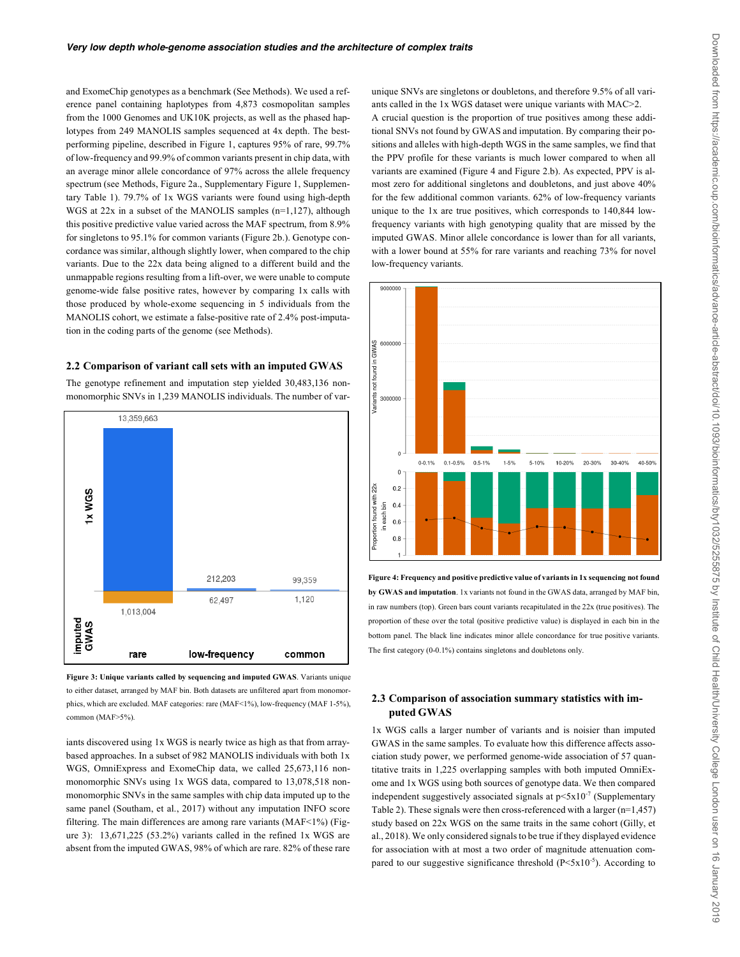and ExomeChip genotypes as a benchmark (See Methods). We used a reference panel containing haplotypes from 4,873 cosmopolitan samples from the 1000 Genomes and UK10K projects, as well as the phased haplotypes from 249 MANOLIS samples sequenced at 4x depth. The bestperforming pipeline, described in Figure 1, captures 95% of rare, 99.7% of low-frequency and 99.9% of common variants present in chip data, with an average minor allele concordance of 97% across the allele frequency spectrum (see Methods, Figure 2a., Supplementary Figure 1, Supplementary Table 1). 79.7% of 1x WGS variants were found using high-depth WGS at 22x in a subset of the MANOLIS samples (n=1,127), although this positive predictive value varied across the MAF spectrum, from 8.9% for singletons to 95.1% for common variants (Figure 2b.). Genotype concordance was similar, although slightly lower, when compared to the chip variants. Due to the 22x data being aligned to a different build and the unmappable regions resulting from a lift-over, we were unable to compute genome-wide false positive rates, however by comparing 1x calls with those produced by whole-exome sequencing in 5 individuals from the MANOLIS cohort, we estimate a false-positive rate of 2.4% post-imputation in the coding parts of the genome (see Methods).

#### **2.2 Comparison of variant call sets with an imputed GWAS**

The genotype refinement and imputation step yielded 30,483,136 nonmonomorphic SNVs in 1,239 MANOLIS individuals. The number of var-





iants discovered using 1x WGS is nearly twice as high as that from arraybased approaches. In a subset of 982 MANOLIS individuals with both 1x WGS, OmniExpress and ExomeChip data, we called 25,673,116 nonmonomorphic SNVs using 1x WGS data, compared to 13,078,518 nonmonomorphic SNVs in the same samples with chip data imputed up to the same panel (Southam, et al., 2017) without any imputation INFO score filtering. The main differences are among rare variants (MAF<1%) (Figure 3): 13,671,225 (53.2%) variants called in the refined 1x WGS are absent from the imputed GWAS, 98% of which are rare. 82% of these rare

unique SNVs are singletons or doubletons, and therefore 9.5% of all variants called in the 1x WGS dataset were unique variants with MAC>2. A crucial question is the proportion of true positives among these additional SNVs not found by GWAS and imputation. By comparing their positions and alleles with high-depth WGS in the same samples, we find that the PPV profile for these variants is much lower compared to when all variants are examined (Figure 4 and Figure 2.b). As expected, PPV is almost zero for additional singletons and doubletons, and just above 40% for the few additional common variants. 62% of low-frequency variants unique to the 1x are true positives, which corresponds to 140,844 lowfrequency variants with high genotyping quality that are missed by the imputed GWAS. Minor allele concordance is lower than for all variants, with a lower bound at 55% for rare variants and reaching 73% for novel low-frequency variants.



**Figure 4: Frequency and positive predictive value of variants in 1x sequencing not found by GWAS and imputation**. 1x variants not found in the GWAS data, arranged by MAF bin, in raw numbers (top). Green bars count variants recapitulated in the 22x (true positives). The proportion of these over the total (positive predictive value) is displayed in each bin in the bottom panel. The black line indicates minor allele concordance for true positive variants. The first category (0-0.1%) contains singletons and doubletons only.

# **2.3 Comparison of association summary statistics with imputed GWAS**

1x WGS calls a larger number of variants and is noisier than imputed GWAS in the same samples. To evaluate how this difference affects association study power, we performed genome-wide association of 57 quantitative traits in 1,225 overlapping samples with both imputed OmniExome and 1x WGS using both sources of genotype data. We then compared independent suggestively associated signals at  $p \leq x 10^{-7}$  (Supplementary Table 2). These signals were then cross-referenced with a larger (n=1,457) study based on 22x WGS on the same traits in the same cohort (Gilly, et al., 2018). We only considered signals to be true if they displayed evidence for association with at most a two order of magnitude attenuation compared to our suggestive significance threshold  $(P < 5x10^{-5})$ . According to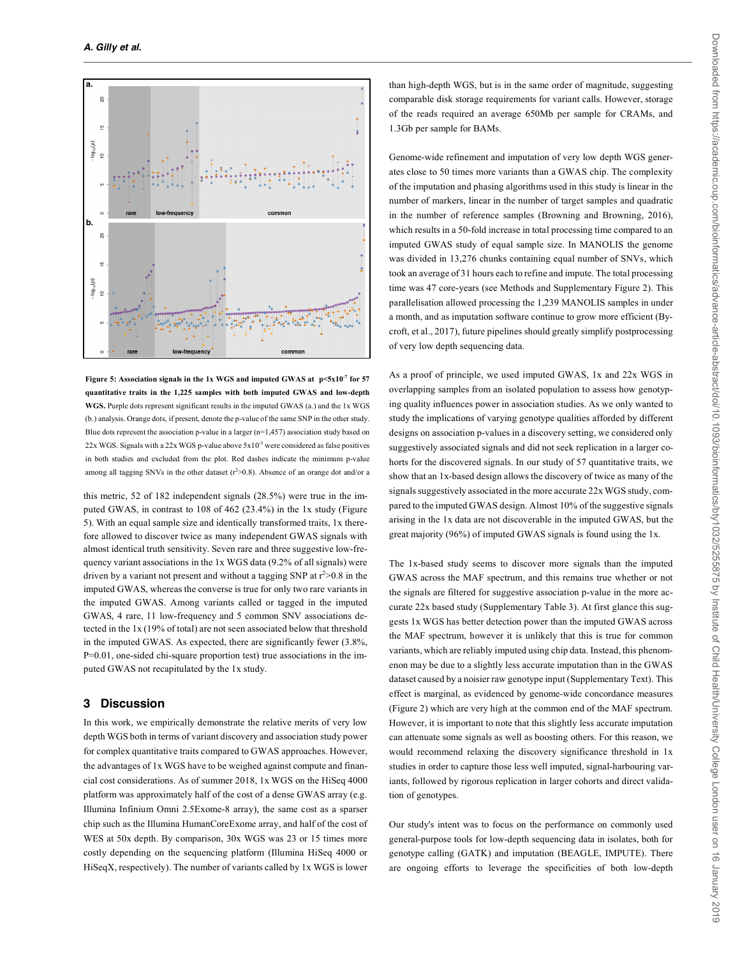

Figure 5: Association signals in the 1x WGS and imputed GWAS at p<5x10<sup>-7</sup> for 57 **quantitative traits in the 1,225 samples with both imputed GWAS and low-depth WGS.** Purple dots represent significant results in the imputed GWAS (a.) and the 1x WGS (b.) analysis. Orange dots, if present, denote the p-value of the same SNP in the other study. Blue dots represent the association p-value in a larger  $(n=1,457)$  association study based on  $22x$  WGS. Signals with a  $22x$  WGS p-value above  $5x10^{-5}$  were considered as false positives in both studies and excluded from the plot. Red dashes indicate the minimum p-value among all tagging SNVs in the other dataset  $(r^2>0.8)$ . Absence of an orange dot and/or a

this metric,  $52$  of  $182$  independent signals  $(28.5%)$  were true in the imputed GWAS, in contrast to 108 of 462 (23.4%) in the 1x study (Figure 5). With an equal sample size and identically transformed traits, 1x therefore allowed to discover twice as many independent GWAS signals with almost identical truth sensitivity. Seven rare and three suggestive low-frequency variant associations in the 1x WGS data (9.2% of all signals) were driven by a variant not present and without a tagging SNP at  $r^2 > 0.8$  in the imputed GWAS, whereas the converse is true for only two rare variants in the imputed GWAS. Among variants called or tagged in the imputed GWAS, 4 rare, 11 low-frequency and 5 common SNV associations detected in the 1x (19% of total) are not seen associated below that threshold in the imputed GWAS. As expected, there are significantly fewer (3.8%, P=0.01, one-sided chi-square proportion test) true associations in the imputed GWAS not recapitulated by the 1x study.

# **3 Discussion**

In this work, we empirically demonstrate the relative merits of very low depth WGS both in terms of variant discovery and association study power for complex quantitative traits compared to GWAS approaches. However, the advantages of 1x WGS have to be weighed against compute and financial cost considerations. As of summer 2018, 1x WGS on the HiSeq 4000 platform was approximately half of the cost of a dense GWAS array (e.g. Illumina Infinium Omni 2.5Exome-8 array), the same cost as a sparser chip such as the Illumina HumanCoreExome array, and half of the cost of WES at 50x depth. By comparison, 30x WGS was 23 or 15 times more costly depending on the sequencing platform (Illumina HiSeq 4000 or HiSeqX, respectively). The number of variants called by 1x WGS is lower

than high-depth WGS, but is in the same order of magnitude, suggesting comparable disk storage requirements for variant calls. However, storage of the reads required an average 650Mb per sample for CRAMs, and 1.3Gb per sample for BAMs.

Genome-wide refinement and imputation of very low depth WGS generates close to 50 times more variants than a GWAS chip. The complexity of the imputation and phasing algorithms used in this study is linear in the number of markers, linear in the number of target samples and quadratic in the number of reference samples (Browning and Browning, 2016), which results in a 50-fold increase in total processing time compared to an imputed GWAS study of equal sample size. In MANOLIS the genome was divided in 13,276 chunks containing equal number of SNVs, which took an average of 31 hours each to refine and impute. The total processing time was 47 core-years (see Methods and Supplementary Figure 2). This parallelisation allowed processing the 1,239 MANOLIS samples in under a month, and as imputation software continue to grow more efficient (Bycroft, et al., 2017), future pipelines should greatly simplify postprocessing of very low depth sequencing data.

As a proof of principle, we used imputed GWAS, 1x and 22x WGS in overlapping samples from an isolated population to assess how genotyping quality influences power in association studies. As we only wanted to study the implications of varying genotype qualities afforded by different designs on association p-values in a discovery setting, we considered only suggestively associated signals and did not seek replication in a larger cohorts for the discovered signals. In our study of 57 quantitative traits, we show that an 1x-based design allows the discovery of twice as many of the signals suggestively associated in the more accurate 22x WGS study, compared to the imputed GWAS design. Almost 10% of the suggestive signals arising in the 1x data are not discoverable in the imputed GWAS, but the great majority (96%) of imputed GWAS signals is found using the 1x.

The 1x-based study seems to discover more signals than the imputed GWAS across the MAF spectrum, and this remains true whether or not the signals are filtered for suggestive association p-value in the more accurate 22x based study (Supplementary Table 3). At first glance this suggests 1x WGS has better detection power than the imputed GWAS across the MAF spectrum, however it is unlikely that this is true for common variants, which are reliably imputed using chip data. Instead, this phenomenon may be due to a slightly less accurate imputation than in the GWAS dataset caused by a noisier raw genotype input (Supplementary Text). This effect is marginal, as evidenced by genome-wide concordance measures (Figure 2) which are very high at the common end of the MAF spectrum. However, it is important to note that this slightly less accurate imputation can attenuate some signals as well as boosting others. For this reason, we would recommend relaxing the discovery significance threshold in 1x studies in order to capture those less well imputed, signal-harbouring variants, followed by rigorous replication in larger cohorts and direct validation of genotypes.

Our study's intent was to focus on the performance on commonly used general-purpose tools for low-depth sequencing data in isolates, both for genotype calling (GATK) and imputation (BEAGLE, IMPUTE). There are ongoing efforts to leverage the specificities of both low-depth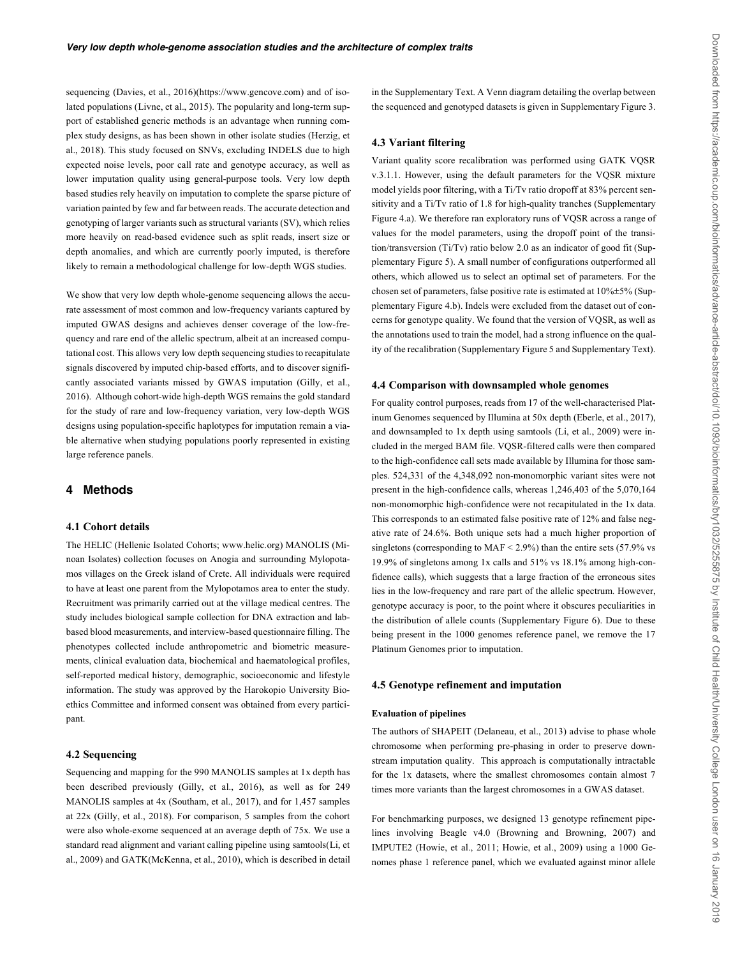sequencing (Davies, et al., 2016)(https://www.gencove.com) and of isolated populations (Livne, et al., 2015). The popularity and long-term support of established generic methods is an advantage when running complex study designs, as has been shown in other isolate studies (Herzig, et al., 2018). This study focused on SNVs, excluding INDELS due to high expected noise levels, poor call rate and genotype accuracy, as well as lower imputation quality using general-purpose tools. Very low depth based studies rely heavily on imputation to complete the sparse picture of variation painted by few and far between reads. The accurate detection and genotyping of larger variants such as structural variants (SV), which relies more heavily on read-based evidence such as split reads, insert size or depth anomalies, and which are currently poorly imputed, is therefore likely to remain a methodological challenge for low-depth WGS studies.

We show that very low depth whole-genome sequencing allows the accurate assessment of most common and low-frequency variants captured by imputed GWAS designs and achieves denser coverage of the low-frequency and rare end of the allelic spectrum, albeit at an increased computational cost. This allows very low depth sequencing studies to recapitulate signals discovered by imputed chip-based efforts, and to discover significantly associated variants missed by GWAS imputation (Gilly, et al., 2016). Although cohort-wide high-depth WGS remains the gold standard for the study of rare and low-frequency variation, very low-depth WGS designs using population-specific haplotypes for imputation remain a viable alternative when studying populations poorly represented in existing large reference panels.

# **4 Methods**

#### **4.1 Cohort details**

The HELIC (Hellenic Isolated Cohorts; www.helic.org) MANOLIS (Minoan Isolates) collection focuses on Anogia and surrounding Mylopotamos villages on the Greek island of Crete. All individuals were required to have at least one parent from the Mylopotamos area to enter the study. Recruitment was primarily carried out at the village medical centres. The study includes biological sample collection for DNA extraction and labbased blood measurements, and interview-based questionnaire filling. The phenotypes collected include anthropometric and biometric measurements, clinical evaluation data, biochemical and haematological profiles, self-reported medical history, demographic, socioeconomic and lifestyle information. The study was approved by the Harokopio University Bioethics Committee and informed consent was obtained from every participant.

### **4.2 Sequencing**

Sequencing and mapping for the 990 MANOLIS samples at 1x depth has been described previously (Gilly, et al., 2016), as well as for 249 MANOLIS samples at 4x (Southam, et al., 2017), and for 1,457 samples at 22x (Gilly, et al., 2018). For comparison, 5 samples from the cohort were also whole-exome sequenced at an average depth of 75x. We use a standard read alignment and variant calling pipeline using samtools(Li, et al., 2009) and GATK(McKenna, et al., 2010), which is described in detail

in the Supplementary Text. A Venn diagram detailing the overlap between the sequenced and genotyped datasets is given in Supplementary Figure 3.

### **4.3 Variant filtering**

Variant quality score recalibration was performed using GATK VQSR v.3.1.1. However, using the default parameters for the VQSR mixture model yields poor filtering, with a Ti/Tv ratio dropoff at 83% percent sensitivity and a Ti/Tv ratio of 1.8 for high-quality tranches (Supplementary Figure 4.a). We therefore ran exploratory runs of VQSR across a range of values for the model parameters, using the dropoff point of the transition/transversion (Ti/Tv) ratio below 2.0 as an indicator of good fit (Supplementary Figure 5). A small number of configurations outperformed all others, which allowed us to select an optimal set of parameters. For the chosen set of parameters, false positive rate is estimated at 10%±5% (Supplementary Figure 4.b). Indels were excluded from the dataset out of concerns for genotype quality. We found that the version of VQSR, as well as the annotations used to train the model, had a strong influence on the quality of the recalibration (Supplementary Figure 5 and Supplementary Text).

#### **4.4 Comparison with downsampled whole genomes**

For quality control purposes, reads from 17 of the well-characterised Platinum Genomes sequenced by Illumina at 50x depth (Eberle, et al., 2017), and downsampled to 1x depth using samtools (Li, et al., 2009) were included in the merged BAM file. VQSR-filtered calls were then compared to the high-confidence call sets made available by Illumina for those samples. 524,331 of the 4,348,092 non-monomorphic variant sites were not present in the high-confidence calls, whereas 1,246,403 of the 5,070,164 non-monomorphic high-confidence were not recapitulated in the 1x data. This corresponds to an estimated false positive rate of 12% and false negative rate of 24.6%. Both unique sets had a much higher proportion of singletons (corresponding to MAF  $\leq$  2.9%) than the entire sets (57.9% vs 19.9% of singletons among 1x calls and 51% vs 18.1% among high-confidence calls), which suggests that a large fraction of the erroneous sites lies in the low-frequency and rare part of the allelic spectrum. However, genotype accuracy is poor, to the point where it obscures peculiarities in the distribution of allele counts (Supplementary Figure 6). Due to these being present in the 1000 genomes reference panel, we remove the 17 Platinum Genomes prior to imputation.

## **4.5 Genotype refinement and imputation**

#### **Evaluation of pipelines**

The authors of SHAPEIT (Delaneau, et al., 2013) advise to phase whole chromosome when performing pre-phasing in order to preserve downstream imputation quality. This approach is computationally intractable for the 1x datasets, where the smallest chromosomes contain almost 7 times more variants than the largest chromosomes in a GWAS dataset.

For benchmarking purposes, we designed 13 genotype refinement pipelines involving Beagle v4.0 (Browning and Browning, 2007) and IMPUTE2 (Howie, et al., 2011; Howie, et al., 2009) using a 1000 Genomes phase 1 reference panel, which we evaluated against minor allele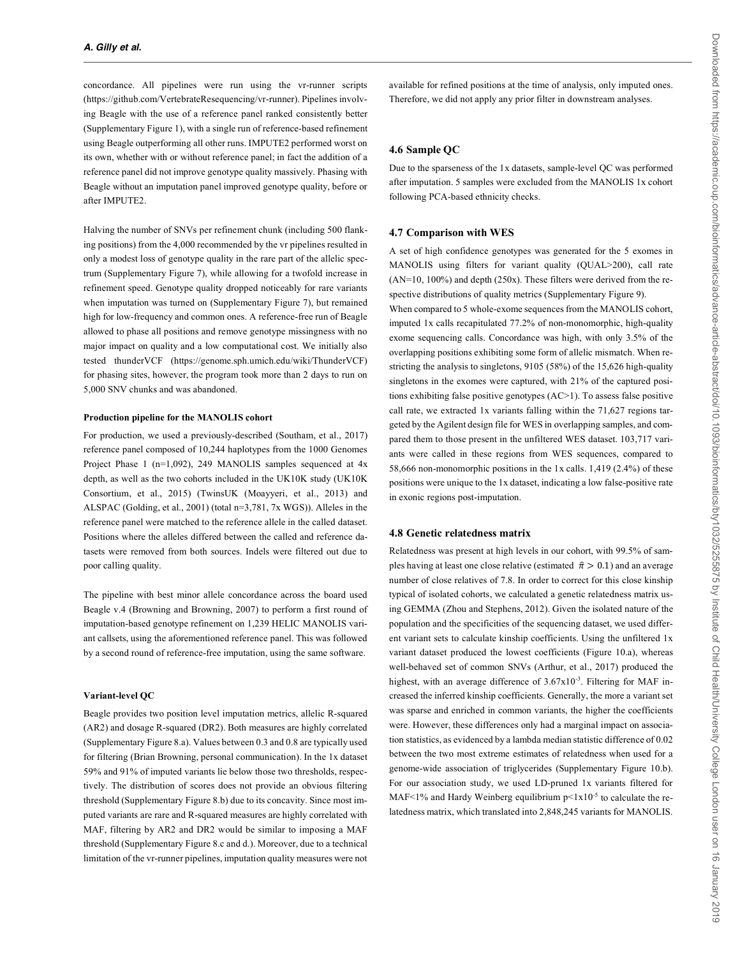concordance. All pipelines were run using the vr-runner scripts (https://github.com/VertebrateResequencing/vr-runner). Pipelines involving Beagle with the use of a reference panel ranked consistently better (Supplementary Figure 1), with a single run of reference-based refinement using Beagle outperforming all other runs. IMPUTE2 performed worst on its own, whether with or without reference panel; in fact the addition of a reference panel did not improve genotype quality massively. Phasing with Beagle without an imputation panel improved genotype quality, before or after IMPUTE2.

Halving the number of SNVs per refinement chunk (including 500 flanking positions) from the 4,000 recommended by the vr pipelines resulted in only a modest loss of genotype quality in the rare part of the allelic spectrum (Supplementary Figure 7), while allowing for a twofold increase in refinement speed. Genotype quality dropped noticeably for rare variants when imputation was turned on (Supplementary Figure 7), but remained high for low-frequency and common ones. A reference-free run of Beagle allowed to phase all positions and remove genotype missingness with no major impact on quality and a low computational cost. We initially also tested thunderVCF (https://genome.sph.umich.edu/wiki/ThunderVCF) for phasing sites, however, the program took more than 2 days to run on 5,000 SNV chunks and was abandoned.

### **Production pipeline for the MANOLIS cohort**

For production, we used a previously-described (Southam, et al., 2017) reference panel composed of 10,244 haplotypes from the 1000 Genomes Project Phase 1 (n=1,092), 249 MANOLIS samples sequenced at 4x depth, as well as the two cohorts included in the UK10K study (UK10K Consortium, et al., 2015) (TwinsUK (Moayyeri, et al., 2013) and ALSPAC (Golding, et al., 2001) (total n=3,781, 7x WGS)). Alleles in the reference panel were matched to the reference allele in the called dataset. Positions where the alleles differed between the called and reference datasets were removed from both sources. Indels were filtered out due to poor calling quality.

The pipeline with best minor allele concordance across the board used Beagle v.4 (Browning and Browning, 2007) to perform a first round of imputation-based genotype refinement on 1,239 HELIC MANOLIS variant callsets, using the aforementioned reference panel. This was followed by a second round of reference-free imputation, using the same software.

### **Variant-level QC**

Beagle provides two position level imputation metrics, allelic R-squared (AR2) and dosage R-squared (DR2). Both measures are highly correlated (Supplementary Figure 8.a). Values between 0.3 and 0.8 are typically used for filtering (Brian Browning, personal communication). In the 1x dataset 59% and 91% of imputed variants lie below those two thresholds, respectively. The distribution of scores does not provide an obvious filtering threshold (Supplementary Figure 8.b) due to its concavity. Since most imputed variants are rare and R-squared measures are highly correlated with MAF, filtering by AR2 and DR2 would be similar to imposing a MAF threshold (Supplementary Figure 8.c and d.). Moreover, due to a technical limitation of the vr-runner pipelines, imputation quality measures were not

available for refined positions at the time of analysis, only imputed ones. Therefore, we did not apply any prior filter in downstream analyses.

#### **4.6 Sample QC**

Due to the sparseness of the 1x datasets, sample-level QC was performed after imputation. 5 samples were excluded from the MANOLIS 1x cohort following PCA-based ethnicity checks.

#### **4.7 Comparison with WES**

A set of high confidence genotypes was generated for the 5 exomes in MANOLIS using filters for variant quality (QUAL>200), call rate (AN=10, 100%) and depth (250x). These filters were derived from the respective distributions of quality metrics (Supplementary Figure 9).

When compared to 5 whole-exome sequences from the MANOLIS cohort, imputed 1x calls recapitulated 77.2% of non-monomorphic, high-quality exome sequencing calls. Concordance was high, with only 3.5% of the overlapping positions exhibiting some form of allelic mismatch. When restricting the analysis to singletons, 9105 (58%) of the 15,626 high-quality singletons in the exomes were captured, with 21% of the captured positions exhibiting false positive genotypes (AC>1). To assess false positive call rate, we extracted 1x variants falling within the 71,627 regions targeted by the Agilent design file for WES in overlapping samples, and compared them to those present in the unfiltered WES dataset. 103,717 variants were called in these regions from WES sequences, compared to 58,666 non-monomorphic positions in the 1x calls. 1,419 (2.4%) of these positions were unique to the 1x dataset, indicating a low false-positive rate in exonic regions post-imputation.

# **4.8 Genetic relatedness matrix**

Relatedness was present at high levels in our cohort, with 99.5% of samples having at least one close relative (estimated  $\hat{\pi} > 0.1$ ) and an average number of close relatives of 7.8. In order to correct for this close kinship typical of isolated cohorts, we calculated a genetic relatedness matrix using GEMMA (Zhou and Stephens, 2012). Given the isolated nature of the population and the specificities of the sequencing dataset, we used different variant sets to calculate kinship coefficients. Using the unfiltered 1x variant dataset produced the lowest coefficients (Figure 10.a), whereas well-behaved set of common SNVs (Arthur, et al., 2017) produced the highest, with an average difference of  $3.67x10^{-3}$ . Filtering for MAF increased the inferred kinship coefficients. Generally, the more a variant set was sparse and enriched in common variants, the higher the coefficients were. However, these differences only had a marginal impact on association statistics, as evidenced by a lambda median statistic difference of 0.02 between the two most extreme estimates of relatedness when used for a genome-wide association of triglycerides (Supplementary Figure 10.b). For our association study, we used LD-pruned 1x variants filtered for MAF<1% and Hardy Weinberg equilibrium  $p<1x10^{-5}$  to calculate the relatedness matrix, which translated into 2,848,245 variants for MANOLIS.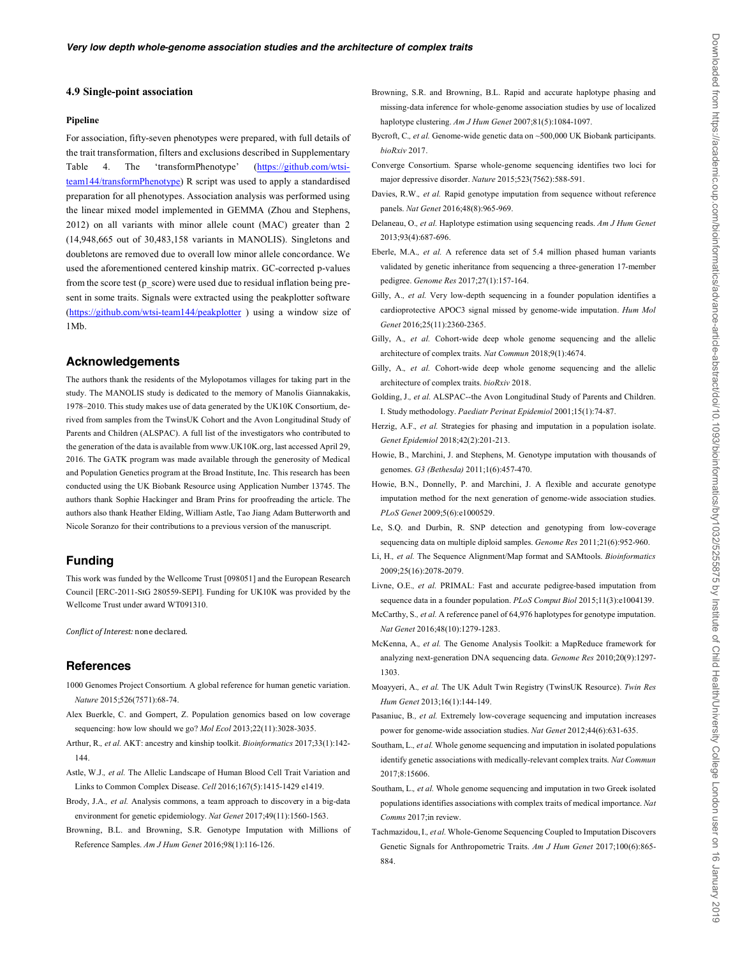#### **4.9 Single-point association**

#### **Pipeline**

For association, fifty-seven phenotypes were prepared, with full details of the trait transformation, filters and exclusions described in Supplementary Table 4. The 'transformPhenotype' (https://github.com/wtsiteam144/transformPhenotype) R script was used to apply a standardised preparation for all phenotypes. Association analysis was performed using the linear mixed model implemented in GEMMA (Zhou and Stephens, 2012) on all variants with minor allele count (MAC) greater than 2 (14,948,665 out of 30,483,158 variants in MANOLIS). Singletons and doubletons are removed due to overall low minor allele concordance. We used the aforementioned centered kinship matrix. GC-corrected p-values from the score test (p\_score) were used due to residual inflation being present in some traits. Signals were extracted using the peakplotter software (https://github.com/wtsi-team144/peakplotter) using a window size of 1Mb.

# **Acknowledgements**

The authors thank the residents of the Mylopotamos villages for taking part in the study. The MANOLIS study is dedicated to the memory of Manolis Giannakakis, 1978–2010. This study makes use of data generated by the UK10K Consortium, derived from samples from the TwinsUK Cohort and the Avon Longitudinal Study of Parents and Children (ALSPAC). A full list of the investigators who contributed to the generation of the data is available from www.UK10K.org, last accessed April 29, 2016. The GATK program was made available through the generosity of Medical and Population Genetics program at the Broad Institute, Inc. This research has been conducted using the UK Biobank Resource using Application Number 13745. The authors thank Sophie Hackinger and Bram Prins for proofreading the article. The authors also thank Heather Elding, William Astle, Tao Jiang Adam Butterworth and Nicole Soranzo for their contributions to a previous version of the manuscript.

#### **Funding**

This work was funded by the Wellcome Trust [098051] and the European Research Council [ERC-2011-StG 280559-SEPI]. Funding for UK10K was provided by the Wellcome Trust under award WT091310.

Conflict of Interest: none declared.

# **References**

- 1000 Genomes Project Consortium*.* A global reference for human genetic variation. *Nature* 2015;526(7571):68-74.
- Alex Buerkle, C. and Gompert, Z. Population genomics based on low coverage sequencing: how low should we go? *Mol Ecol* 2013;22(11):3028-3035.
- Arthur, R.*, et al.* AKT: ancestry and kinship toolkit. *Bioinformatics* 2017;33(1):142- 144.
- Astle, W.J.*, et al.* The Allelic Landscape of Human Blood Cell Trait Variation and Links to Common Complex Disease. *Cell* 2016;167(5):1415-1429 e1419.
- Brody, J.A.*, et al.* Analysis commons, a team approach to discovery in a big-data environment for genetic epidemiology. *Nat Genet* 2017;49(11):1560-1563.
- Browning, B.L. and Browning, S.R. Genotype Imputation with Millions of Reference Samples. *Am J Hum Genet* 2016;98(1):116-126.
- Browning, S.R. and Browning, B.L. Rapid and accurate haplotype phasing and missing-data inference for whole-genome association studies by use of localized haplotype clustering. *Am J Hum Genet* 2007;81(5):1084-1097.
- Bycroft, C.*, et al.* Genome-wide genetic data on ~500,000 UK Biobank participants. *bioRxiv* 2017.
- Converge Consortium. Sparse whole-genome sequencing identifies two loci for major depressive disorder. *Nature* 2015;523(7562):588-591.
- Davies, R.W.*, et al.* Rapid genotype imputation from sequence without reference panels. *Nat Genet* 2016;48(8):965-969.
- Delaneau, O.*, et al.* Haplotype estimation using sequencing reads. *Am J Hum Genet* 2013;93(4):687-696.
- Eberle, M.A.*, et al.* A reference data set of 5.4 million phased human variants validated by genetic inheritance from sequencing a three-generation 17-member pedigree. *Genome Res* 2017;27(1):157-164.
- Gilly, A.*, et al.* Very low-depth sequencing in a founder population identifies a cardioprotective APOC3 signal missed by genome-wide imputation. *Hum Mol Genet* 2016;25(11):2360-2365.
- Gilly, A., et al. Cohort-wide deep whole genome sequencing and the allelic architecture of complex traits. *Nat Commun* 2018;9(1):4674.
- Gilly, A.*, et al.* Cohort-wide deep whole genome sequencing and the allelic architecture of complex traits. *bioRxiv* 2018.
- Golding, J.*, et al.* ALSPAC--the Avon Longitudinal Study of Parents and Children. I. Study methodology. *Paediatr Perinat Epidemiol* 2001;15(1):74-87.
- Herzig, A.F.*, et al.* Strategies for phasing and imputation in a population isolate. *Genet Epidemiol* 2018;42(2):201-213.
- Howie, B., Marchini, J. and Stephens, M. Genotype imputation with thousands of genomes. *G3 (Bethesda)* 2011;1(6):457-470.
- Howie, B.N., Donnelly, P. and Marchini, J. A flexible and accurate genotype imputation method for the next generation of genome-wide association studies. *PLoS Genet* 2009;5(6):e1000529.
- Le, S.Q. and Durbin, R. SNP detection and genotyping from low-coverage sequencing data on multiple diploid samples. *Genome Res* 2011;21(6):952-960.
- Li, H.*, et al.* The Sequence Alignment/Map format and SAMtools. *Bioinformatics* 2009;25(16):2078-2079.
- Livne, O.E.*, et al.* PRIMAL: Fast and accurate pedigree-based imputation from sequence data in a founder population. *PLoS Comput Biol* 2015;11(3):e1004139.
- McCarthy, S.*, et al.* A reference panel of 64,976 haplotypes for genotype imputation. *Nat Genet* 2016;48(10):1279-1283.
- McKenna, A.*, et al.* The Genome Analysis Toolkit: a MapReduce framework for analyzing next-generation DNA sequencing data. *Genome Res* 2010;20(9):1297- 1303.
- Moayyeri, A.*, et al.* The UK Adult Twin Registry (TwinsUK Resource). *Twin Res Hum Genet* 2013;16(1):144-149.
- Pasaniuc, B.*, et al.* Extremely low-coverage sequencing and imputation increases power for genome-wide association studies. *Nat Genet* 2012;44(6):631-635.
- Southam, L.*, et al.* Whole genome sequencing and imputation in isolated populations identify genetic associations with medically-relevant complex traits. *Nat Commun* 2017;8:15606.
- Southam, L.*, et al.* Whole genome sequencing and imputation in two Greek isolated populations identifies associations with complex traits of medical importance. *Nat Comms* 2017;in review.
- Tachmazidou, I.*, et al.* Whole-Genome Sequencing Coupled to Imputation Discovers Genetic Signals for Anthropometric Traits. *Am J Hum Genet* 2017;100(6):865- 884.